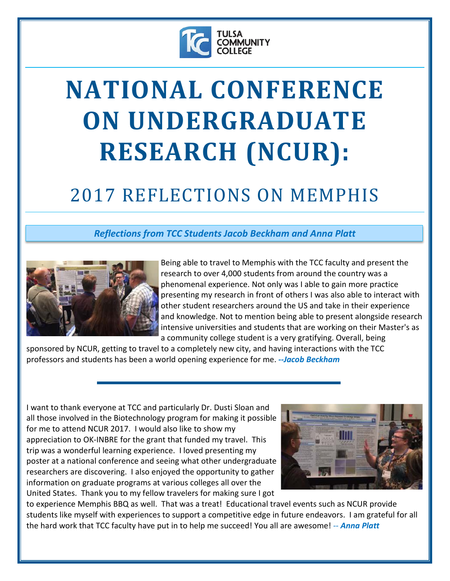

## **NATIONAL CONFERENCE ON UNDERGRADUATE RESEARCH (NCUR):**

## 2017 REFLECTIONS ON MEMPHIS

## *Reflections from TCC Students Jacob Beckham and Anna Platt*



Being able to travel to Memphis with the TCC faculty and present the research to over 4,000 students from around the country was a phenomenal experience. Not only was I able to gain more practice presenting my research in front of others I was also able to interact with other student researchers around the US and take in their experience and knowledge. Not to mention being able to present alongside research intensive universities and students that are working on their Master's as a community college student is a very gratifying. Overall, being

sponsored by NCUR, getting to travel to a completely new city, and having interactions with the TCC professors and students has been a world opening experience for me. *--Jacob Beckham* 

I want to thank everyone at TCC and particularly Dr. Dusti Sloan and all those involved in the Biotechnology program for making it possible for me to attend NCUR 2017. I would also like to show my appreciation to OK-INBRE for the grant that funded my travel. This trip was a wonderful learning experience. I loved presenting my poster at a national conference and seeing what other undergraduate researchers are discovering. I also enjoyed the opportunity to gather information on graduate programs at various colleges all over the United States. Thank you to my fellow travelers for making sure I got



to experience Memphis BBQ as well. That was a treat! Educational travel events such as NCUR provide students like myself with experiences to support a competitive edge in future endeavors. I am grateful for all the hard work that TCC faculty have put in to help me succeed! You all are awesome! *-- Anna Platt*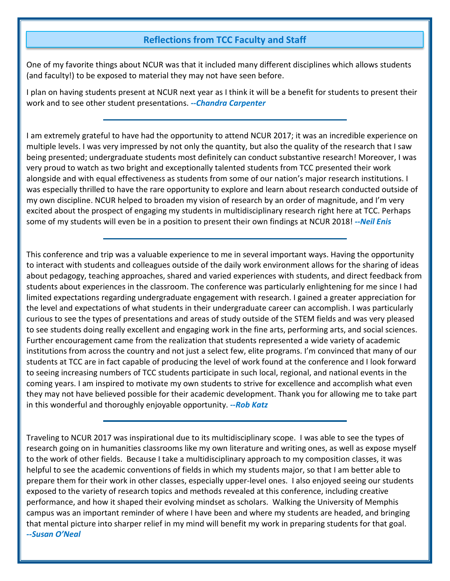## **Reflections from TCC Faculty and Staff**

One of my favorite things about NCUR was that it included many different disciplines which allows students (and faculty!) to be exposed to material they may not have seen before.

I plan on having students present at NCUR next year as I think it will be a benefit for students to present their work and to see other student presentations. *--Chandra Carpenter* 

I am extremely grateful to have had the opportunity to attend NCUR 2017; it was an incredible experience on multiple levels. I was very impressed by not only the quantity, but also the quality of the research that I saw being presented; undergraduate students most definitely can conduct substantive research! Moreover, I was very proud to watch as two bright and exceptionally talented students from TCC presented their work alongside and with equal effectiveness as students from some of our nation's major research institutions. I was especially thrilled to have the rare opportunity to explore and learn about research conducted outside of my own discipline. NCUR helped to broaden my vision of research by an order of magnitude, and I'm very excited about the prospect of engaging my students in multidisciplinary research right here at TCC. Perhaps some of my students will even be in a position to present their own findings at NCUR 2018! *--Neil Enis* 

This conference and trip was a valuable experience to me in several important ways. Having the opportunity to interact with students and colleagues outside of the daily work environment allows for the sharing of ideas about pedagogy, teaching approaches, shared and varied experiences with students, and direct feedback from students about experiences in the classroom. The conference was particularly enlightening for me since I had limited expectations regarding undergraduate engagement with research. I gained a greater appreciation for the level and expectations of what students in their undergraduate career can accomplish. I was particularly curious to see the types of presentations and areas of study outside of the STEM fields and was very pleased to see students doing really excellent and engaging work in the fine arts, performing arts, and social sciences. Further encouragement came from the realization that students represented a wide variety of academic institutions from across the country and not just a select few, elite programs. I'm convinced that many of our students at TCC are in fact capable of producing the level of work found at the conference and I look forward to seeing increasing numbers of TCC students participate in such local, regional, and national events in the coming years. I am inspired to motivate my own students to strive for excellence and accomplish what even they may not have believed possible for their academic development. Thank you for allowing me to take part in this wonderful and thoroughly enjoyable opportunity. *--Rob Katz* 

Traveling to NCUR 2017 was inspirational due to its multidisciplinary scope. I was able to see the types of research going on in humanities classrooms like my own literature and writing ones, as well as expose myself to the work of other fields. Because I take a multidisciplinary approach to my composition classes, it was helpful to see the academic conventions of fields in which my students major, so that I am better able to prepare them for their work in other classes, especially upper-level ones. I also enjoyed seeing our students exposed to the variety of research topics and methods revealed at this conference, including creative performance, and how it shaped their evolving mindset as scholars. Walking the University of Memphis campus was an important reminder of where I have been and where my students are headed, and bringing that mental picture into sharper relief in my mind will benefit my work in preparing students for that goal. *--Susan O'Neal*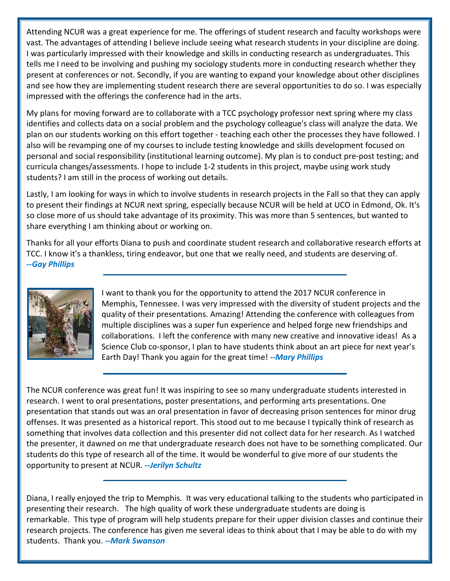Attending NCUR was a great experience for me. The offerings of student research and faculty workshops were vast. The advantages of attending I believe include seeing what research students in your discipline are doing. I was particularly impressed with their knowledge and skills in conducting research as undergraduates. This tells me I need to be involving and pushing my sociology students more in conducting research whether they present at conferences or not. Secondly, if you are wanting to expand your knowledge about other disciplines and see how they are implementing student research there are several opportunities to do so. I was especially impressed with the offerings the conference had in the arts.

My plans for moving forward are to collaborate with a TCC psychology professor next spring where my class identifies and collects data on a social problem and the psychology colleague's class will analyze the data. We plan on our students working on this effort together - teaching each other the processes they have followed. I also will be revamping one of my courses to include testing knowledge and skills development focused on personal and social responsibility (institutional learning outcome). My plan is to conduct pre-post testing; and curricula changes/assessments. I hope to include 1-2 students in this project, maybe using work study students? I am still in the process of working out details.

Lastly, I am looking for ways in which to involve students in research projects in the Fall so that they can apply to present their findings at NCUR next spring, especially because NCUR will be held at UCO in Edmond, Ok. It's so close more of us should take advantage of its proximity. This was more than 5 sentences, but wanted to share everything I am thinking about or working on.

Thanks for all your efforts Diana to push and coordinate student research and collaborative research efforts at TCC. I know it's a thankless, tiring endeavor, but one that we really need, and students are deserving of. *--Gay Phillips* 



I want to thank you for the opportunity to attend the 2017 NCUR conference in Memphis, Tennessee. I was very impressed with the diversity of student projects and the quality of their presentations. Amazing! Attending the conference with colleagues from multiple disciplines was a super fun experience and helped forge new friendships and collaborations. I left the conference with many new creative and innovative ideas! As a Science Club co-sponsor, I plan to have students think about an art piece for next year's Earth Day! Thank you again for the great time! *--Mary Phillips* 

The NCUR conference was great fun! It was inspiring to see so many undergraduate students interested in research. I went to oral presentations, poster presentations, and performing arts presentations. One presentation that stands out was an oral presentation in favor of decreasing prison sentences for minor drug offenses. It was presented as a historical report. This stood out to me because I typically think of research as something that involves data collection and this presenter did not collect data for her research. As I watched the presenter, it dawned on me that undergraduate research does not have to be something complicated. Our students do this type of research all of the time. It would be wonderful to give more of our students the opportunity to present at NCUR. *--Jerilyn Schultz* 

Diana, I really enjoyed the trip to Memphis. It was very educational talking to the students who participated in presenting their research. The high quality of work these undergraduate students are doing is remarkable. This type of program will help students prepare for their upper division classes and continue their research projects. The conference has given me several ideas to think about that I may be able to do with my students. Thank you. *--Mark Swanson*